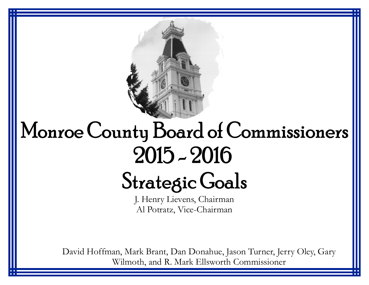

## Monroe County Board of Commissioners  $2015 - 2016$

## **Strategic Goals**

J. Henry Lievens, Chairman Al Potratz, Vice-Chairman

David Hoffman, Mark Brant, Dan Donahue, Jason Turner, Jerry Oley, Gary Wilmoth, and R. Mark Ellsworth Commissioner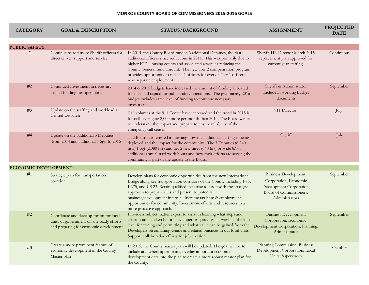## **MONROE COUNTY BOARD OF COMMISSIONERS 2015-2016 GOALS**

| <b>CATEGORY</b>              | <b>GOAL &amp; DESCRIPTION</b>                                                                                                 | STATUS/BACKGROUND                                                                                                                                                                                                                                                                                                                                                                                                                                     | <b>ASSIGNMENT</b>                                                                                                             | <b>PROJECTED</b><br><b>DATE</b> |
|------------------------------|-------------------------------------------------------------------------------------------------------------------------------|-------------------------------------------------------------------------------------------------------------------------------------------------------------------------------------------------------------------------------------------------------------------------------------------------------------------------------------------------------------------------------------------------------------------------------------------------------|-------------------------------------------------------------------------------------------------------------------------------|---------------------------------|
|                              |                                                                                                                               |                                                                                                                                                                                                                                                                                                                                                                                                                                                       |                                                                                                                               |                                 |
| <b>PUBLIC SAFETY:</b>        |                                                                                                                               |                                                                                                                                                                                                                                                                                                                                                                                                                                                       |                                                                                                                               |                                 |
| #1                           | Continue to add more Sheriff officers for<br>direct citizen support and service                                               | In 2014, the County Board funded 3 additional Deputies, the first<br>additional officers since reductions in 2011. This was primarily due to<br>higher ICE Housing counts and associated revenues reducing the<br>County General fund amount. The new Tier 2 compensation program<br>provides opportunity to replace 4 officers for every 3 Tier 1 officers<br>who separate employment.                                                               | Sheriff, HR Director March 2015<br>replacement plan approved for<br>current year staffing.                                    | Continuous                      |
| #2                           | Continued Investment in necessary<br>capital funding for operations                                                           | 2014 & 2015 budgets have increased the amount of funding allocated<br>for fleet and capital for public safety operations. The preliminary 2016<br>budget includes same level of funding to continue necessary<br>investments.                                                                                                                                                                                                                         | Sheriff & Administrator<br>Include in working budget<br>documents                                                             | September                       |
| #3                           | Update on the staffing and workload at<br>Central Dispatch                                                                    | Call volumes at the 911 Center have increased and the trend in 2015 is<br>for calls averaging 2,000 more per month than 2014. The Board wants<br>to understand the impact and prepare to ensure reliability of the<br>emergency call center                                                                                                                                                                                                           | 911 Director                                                                                                                  | July                            |
| #4                           | Update on the additional 3 Deputies<br>from 2014 and additional 1 Sgt. In 2015                                                | The Board is interested in learning how the additional staffing is being<br>deployed and the impact for the community. The 3 Deputies (6,240<br>hrs.) 1 Sgt (2,080 hrs) and tier 2 new hires (640 hrs) provide 8,960<br>additional annual staff work hours and how their efforts are serving the<br>community is part of the update to the Board.                                                                                                     | Sheriff                                                                                                                       | July                            |
| <b>ECONOMIC DEVELOPMENT:</b> |                                                                                                                               |                                                                                                                                                                                                                                                                                                                                                                                                                                                       |                                                                                                                               |                                 |
| #1                           | Strategic plan for transportation<br>corridor                                                                                 | Develop plans for economic opportunities from the new International<br>Bridge along key transportation corridors of the County including I-75,<br>I-275, and US 23. Retain qualified expertise to assist with the strategic<br>approach to prepare sites and present to potential<br>business/development interests. Increase tax base & employment<br>opportunties for community. Invest more efforts and resources in a<br>more proactive approach. | <b>Business Development</b><br>Corporation, Economic<br>Development Corporation,<br>Board of Commissioners,<br>Administrators | September                       |
| #2                           | Coordinate and develop forum for local<br>units of government on site ready efforts<br>and preparing for economic development | Provide a subject matter expert to assist in learning what steps and<br>efforts can be taken before developers inquire. What works at the local<br>level for zoning and permitting and what value can be gained from the<br>Developers Streamlining Guide and related practices in our local units.<br>Support collaborative efforts for job creation.                                                                                                | <b>Business Development</b><br>Corporation, Economic<br>Development Corporation, Planning,<br>Administrator                   | September                       |
| #3                           | Create a more prominent feature of<br>economic development in the County<br>Master plan                                       | In 2015, the County master plan will be updated. The goal will be to<br>include and where appropriate, overlay important economic<br>development data into the plan to create a more robust master plan for<br>the County.                                                                                                                                                                                                                            | Planning Commission, Business<br>Development Corporation, Local<br>Units, Supervisors                                         | October                         |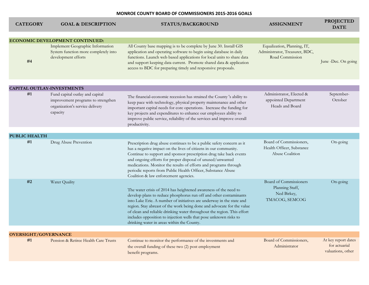| <b>CATEGORY</b>             | <b>GOAL &amp; DESCRIPTION</b>                                                                                        | <b>STATUS/BACKGROUND</b>                                                                                                                                                                                                                                                                                                                                                                                                                                                               | <b>ASSIGNMENT</b>                                                                | <b>PROJECTED</b><br><b>DATE</b>                           |
|-----------------------------|----------------------------------------------------------------------------------------------------------------------|----------------------------------------------------------------------------------------------------------------------------------------------------------------------------------------------------------------------------------------------------------------------------------------------------------------------------------------------------------------------------------------------------------------------------------------------------------------------------------------|----------------------------------------------------------------------------------|-----------------------------------------------------------|
|                             | <b>ECONOMIC DEVELOPMENT CONTINUED:</b>                                                                               |                                                                                                                                                                                                                                                                                                                                                                                                                                                                                        |                                                                                  |                                                           |
| #4                          | Implement Geographic Information<br>System function more completely into<br>development efforts                      | All County base mapping is to be complete by June 30. Install GIS<br>application and operating software to begin using database in daily<br>functions. Launch web based applications for local units to share data<br>and support keeping data current. Promote shared data & application<br>access to BDC for preparing timely and responsive proposals.                                                                                                                              | Equalization, Planning, IT,<br>Administrator, Treasurer, BDC,<br>Road Commission | June -Dec. On going                                       |
|                             | <b>CAPITAL OUTLAY-INVESTMENTS</b>                                                                                    |                                                                                                                                                                                                                                                                                                                                                                                                                                                                                        |                                                                                  |                                                           |
| #1                          | Fund capital outlay and capital<br>improvement programs to strengthen<br>organization's service delivery<br>capacity | The financial-economic recession has strained the County's ability to<br>keep pace with technology, physical property maintenance and other<br>important capital needs for core operations. Increase the funding for<br>key projects and expenditures to enhance our employees ability to<br>improve public service, reliability of the services and improve overall<br>productivity.                                                                                                  | Administrator, Elected &<br>appointed Department<br>Heads and Board              | September-<br>October                                     |
| <b>PUBLIC HEALTH</b>        |                                                                                                                      |                                                                                                                                                                                                                                                                                                                                                                                                                                                                                        |                                                                                  |                                                           |
| #1                          | Drug Abuse Prevention                                                                                                | Prescription drug abuse continues to be a public safety concern as it<br>has a negative impact on the lives of citizens in our community.<br>Continue to support and sponsor prescription drug take back events<br>and ongoing efforts for proper disposal of unused/unwanted<br>medications. Monitor the results of efforts and programs through<br>periodic reports from Public Health Officer, Substance Abuse<br>Coalition & law enforcement agencies.                             | Board of Commissioners,<br>Health Officer, Substance<br>Abuse Coalition          | On-going                                                  |
| #2                          | Water Quality                                                                                                        | The water crisis of 2014 has heightened awareness of the need to<br>develop plans to reduce phosphorus run off and other contaminants<br>into Lake Erie. A number of initiatives are underway in the state and<br>region. Stay abreast of the work being done and advocate for the value<br>of clean and reliable drinking water throughout the region. This effort<br>includes opposition to injection wells that pose unknown risks to<br>drinking water in areas within the County. | Board of Commissioners<br>Planning Staff,<br>Ned Birkey,<br>TMACOG, SEMCOG       | On-going                                                  |
| <b>OVERSIGHT/GOVERNANCE</b> |                                                                                                                      |                                                                                                                                                                                                                                                                                                                                                                                                                                                                                        |                                                                                  |                                                           |
| #1                          | Pension & Retiree Health Care Trusts                                                                                 | Continue to monitor the performance of the investments and<br>the overall funding of these two (2) post employment<br>benefit programs.                                                                                                                                                                                                                                                                                                                                                | Board of Commissioners,<br>Administrator                                         | At key report dates<br>for actuarial<br>valuations, other |